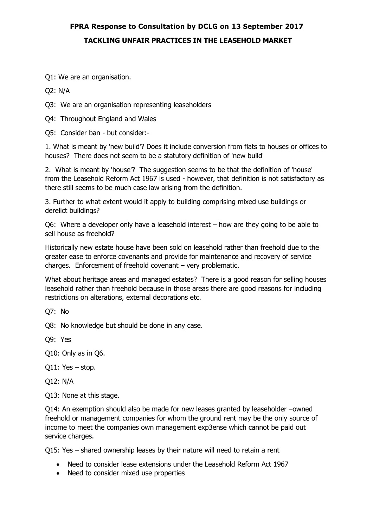## **FPRA Response to Consultation by DCLG on 13 September 2017 TACKLING UNFAIR PRACTICES IN THE LEASEHOLD MARKET**

Q1: We are an organisation.

Q2: N/A

Q3: We are an organisation representing leaseholders

Q4: Throughout England and Wales

Q5: Consider ban - but consider:-

1. What is meant by 'new build'? Does it include conversion from flats to houses or offices to houses? There does not seem to be a statutory definition of 'new build'

2. What is meant by 'house'? The suggestion seems to be that the definition of 'house' from the Leasehold Reform Act 1967 is used - however, that definition is not satisfactory as there still seems to be much case law arising from the definition.

3. Further to what extent would it apply to building comprising mixed use buildings or derelict buildings?

Q6: Where a developer only have a leasehold interest – how are they going to be able to sell house as freehold?

Historically new estate house have been sold on leasehold rather than freehold due to the greater ease to enforce covenants and provide for maintenance and recovery of service charges. Enforcement of freehold covenant – very problematic.

What about heritage areas and managed estates? There is a good reason for selling houses leasehold rather than freehold because in those areas there are good reasons for including restrictions on alterations, external decorations etc.

Q7: No

Q8: No knowledge but should be done in any case.

Q9: Yes

Q10: Only as in Q6.

Q11: Yes – stop.

Q12: N/A

Q13: None at this stage.

Q14: An exemption should also be made for new leases granted by leaseholder –owned freehold or management companies for whom the ground rent may be the only source of income to meet the companies own management exp3ense which cannot be paid out service charges.

Q15: Yes – shared ownership leases by their nature will need to retain a rent

- Need to consider lease extensions under the Leasehold Reform Act 1967
- Need to consider mixed use properties